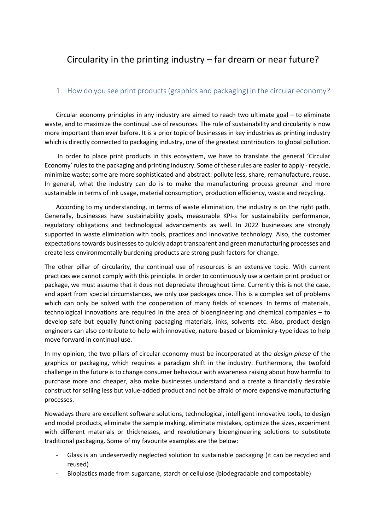## Circularity in the printing industry – far dream or near future?

## 1. How do you see print products (graphics and packaging) in the circular economy?

Circular economy principles in any industry are aimed to reach two ultimate goal – to eliminate waste, and to maximize the continual use of resources. The rule of sustainability and circularity is now more important than ever before. It is a prior topic of businesses in key industries as printing industry which is directly connected to packaging industry, one of the greatest contributors to global pollution.

In order to place print products in this ecosystem, we have to translate the general 'Circular Economy'rules to the packaging and printing industry. Some of these rules are easier to apply -recycle, minimize waste; some are more sophisticated and abstract: pollute less, share, remanufacture, reuse. In general, what the industry can do is to make the manufacturing process greener and more sustainable in terms of ink usage, material consumption, production efficiency, waste and recycling.

According to my understanding, in terms of waste elimination, the industry is on the right path. Generally, businesses have sustainability goals, measurable KPI-s for sustainability performance, regulatory obligations and technological advancements as well. In 2022 businesses are strongly supported in waste elimination with tools, practices and innovative technology. Also, the customer expectations towards businesses to quickly adapt transparent and green manufacturing processes and create less environmentally burdening products are strong push factors for change.

The other pillar of circularity, the continual use of resources is an extensive topic. With current practices we cannot comply with this principle. In order to continuously use a certain print product or package, we must assume that it does not depreciate throughout time. Currently this is not the case, and apart from special circumstances, we only use packages once. This is a complex set of problems which can only be solved with the cooperation of many fields of sciences. In terms of materials, technological innovations are required in the area of bioengineering and chemical companies – to develop safe but equally functioning packaging materials, inks, solvents etc. Also, product design engineers can also contribute to help with innovative, nature-based or biomimicry-type ideas to help move forward in continual use.

In my opinion, the two pillars of circular economy must be incorporated at the *design phase* of the graphics or packaging, which requires a paradigm shift in the industry. Furthermore, the twofold challenge in the future is to change consumer behaviour with awareness raising about how harmful to purchase more and cheaper, also make businesses understand and a create a financially desirable construct for selling less but value-added product and not be afraid of more expensive manufacturing processes.

Nowadays there are excellent software solutions, technological, intelligent innovative tools, to design and model products, eliminate the sample making, eliminate mistakes, optimize the sizes, experiment with different materials or thicknesses, and revolutionary bioengineering solutions to substitute traditional packaging. Some of my favourite examples are the below:

- Glass is an undeservedly neglected solution to sustainable packaging (it can be recycled and reused)
- Bioplastics made from sugarcane, starch or cellulose (biodegradable and compostable)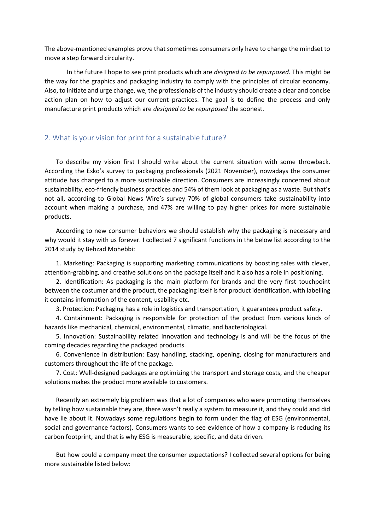The above-mentioned examples prove that sometimes consumers only have to change the mindset to move a step forward circularity.

In the future I hope to see print products which are *designed to be repurposed.* This might be the way for the graphics and packaging industry to comply with the principles of circular economy. Also, to initiate and urge change, we, the professionals of the industry should create a clear and concise action plan on how to adjust our current practices. The goal is to define the process and only manufacture print products which are *designed to be repurposed* the soonest.

## 2. What is your vision for print for a sustainable future?

To describe my vision first I should write about the current situation with some throwback. According the Esko's survey to packaging professionals (2021 November), nowadays the consumer attitude has changed to a more sustainable direction. Consumers are increasingly concerned about sustainability, eco-friendly business practices and 54% of them look at packaging as a waste. But that's not all, according to Global News Wire's survey 70% of global consumers take sustainability into account when making a purchase, and 47% are willing to pay higher prices for more sustainable products.

According to new consumer behaviors we should establish why the packaging is necessary and why would it stay with us forever. I collected 7 significant functions in the below list according to the 2014 study by Behzad Mohebbi:

1. Marketing: Packaging is supporting marketing communications by boosting sales with clever, attention-grabbing, and creative solutions on the package itself and it also has a role in positioning.

2. Identification: As packaging is the main platform for brands and the very first touchpoint between the costumer and the product, the packaging itself is for product identification, with labelling it contains information of the content, usability etc.

3. Protection: Packaging has a role in logistics and transportation, it guarantees product safety.

4. Containment: Packaging is responsible for protection of the product from various kinds of hazards like mechanical, chemical, environmental, climatic, and bacteriological.

5. Innovation: Sustainability related innovation and technology is and will be the focus of the coming decades regarding the packaged products.

6. Convenience in distribution: Easy handling, stacking, opening, closing for manufacturers and customers throughout the life of the package.

7. Cost: Well-designed packages are optimizing the transport and storage costs, and the cheaper solutions makes the product more available to customers.

Recently an extremely big problem was that a lot of companies who were promoting themselves by telling how sustainable they are, there wasn't really a system to measure it, and they could and did have lie about it. Nowadays some regulations begin to form under the flag of ESG (environmental, social and governance factors). Consumers wants to see evidence of how a company is reducing its carbon footprint, and that is why ESG is measurable, specific, and data driven.

But how could a company meet the consumer expectations? I collected several options for being more sustainable listed below: